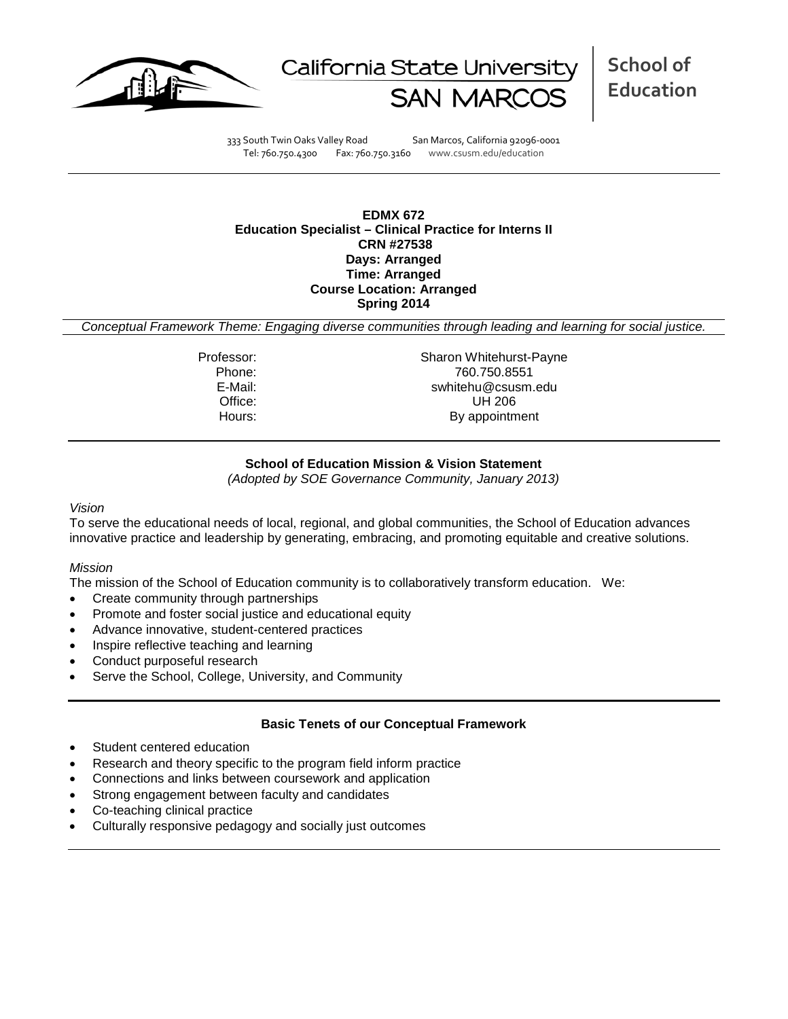



**School of Education**

333 South Twin Oaks Valley Road San Marcos, California 92096-0001 Tel: 760.750.4300 Fax: 760.750.3160 www.csusm.edu/education

## **EDMX 672 Education Specialist – Clinical Practice for Interns II CRN #27538 Days: Arranged Time: Arranged Course Location: Arranged Spring 2014**

*Conceptual Framework Theme: Engaging diverse communities through leading and learning for social justice.*

Professor: Sharon Whitehurst-Payne<br>Phone: 760.750.8551 Phone: 760.750.8551 E-Mail: swhitehu@csusm.edu Office: UH 206<br>
Hours: By appointm By appointment

## **School of Education Mission & Vision Statement**

*(Adopted by SOE Governance Community, January 2013)*

#### *Vision*

To serve the educational needs of local, regional, and global communities, the School of Education advances innovative practice and leadership by generating, embracing, and promoting equitable and creative solutions.

#### *Mission*

The mission of the School of Education community is to collaboratively transform education. We:

- Create community through partnerships
- Promote and foster social justice and educational equity
- Advance innovative, student-centered practices
- Inspire reflective teaching and learning
- Conduct purposeful research
- Serve the School, College, University, and Community

#### **Basic Tenets of our Conceptual Framework**

- Student centered education
- Research and theory specific to the program field inform practice
- Connections and links between coursework and application
- Strong engagement between faculty and candidates
- Co-teaching clinical practice
- Culturally responsive pedagogy and socially just outcomes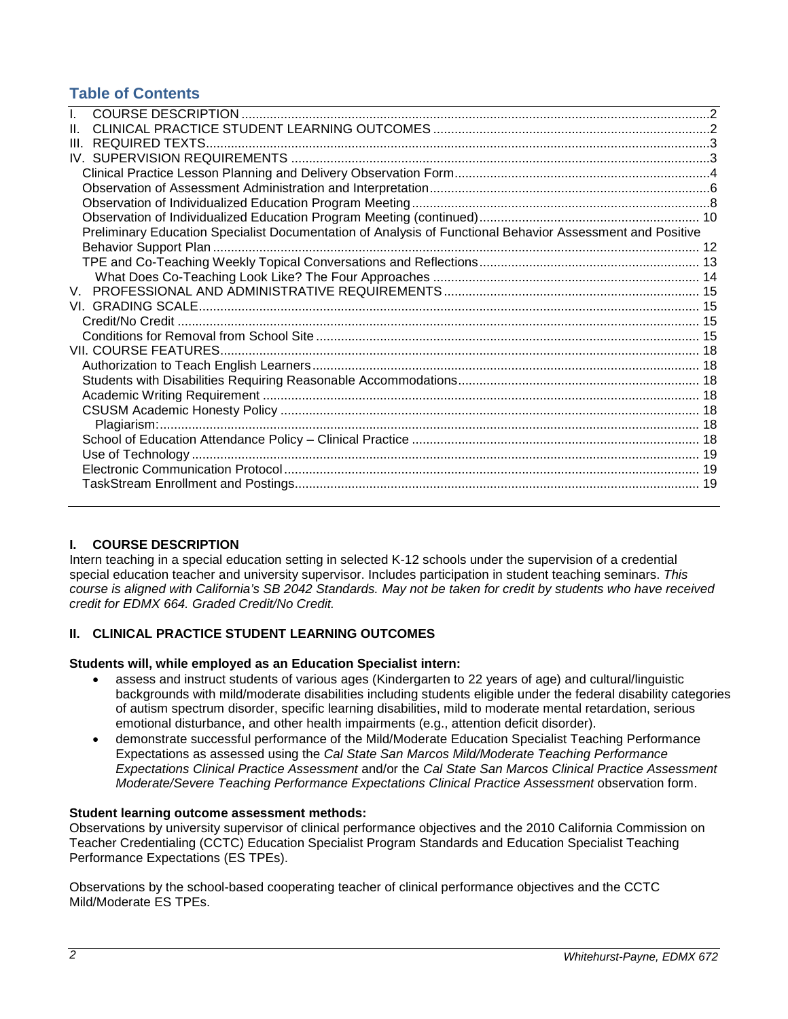## **Table of Contents**

| Ш                                                                                                         |  |
|-----------------------------------------------------------------------------------------------------------|--|
|                                                                                                           |  |
|                                                                                                           |  |
|                                                                                                           |  |
|                                                                                                           |  |
|                                                                                                           |  |
| Preliminary Education Specialist Documentation of Analysis of Functional Behavior Assessment and Positive |  |
|                                                                                                           |  |
|                                                                                                           |  |
|                                                                                                           |  |
|                                                                                                           |  |
|                                                                                                           |  |
|                                                                                                           |  |
|                                                                                                           |  |
|                                                                                                           |  |
|                                                                                                           |  |
|                                                                                                           |  |
|                                                                                                           |  |
|                                                                                                           |  |
|                                                                                                           |  |
|                                                                                                           |  |
|                                                                                                           |  |
|                                                                                                           |  |
|                                                                                                           |  |
|                                                                                                           |  |

## <span id="page-1-0"></span>**I. COURSE DESCRIPTION**

Intern teaching in a special education setting in selected K-12 schools under the supervision of a credential special education teacher and university supervisor. Includes participation in student teaching seminars. *This course is aligned with California's SB 2042 Standards. May not be taken for credit by students who have received credit for EDMX 664. Graded Credit/No Credit.*

## <span id="page-1-1"></span>**II. CLINICAL PRACTICE STUDENT LEARNING OUTCOMES**

#### **Students will, while employed as an Education Specialist intern:**

- assess and instruct students of various ages (Kindergarten to 22 years of age) and cultural/linguistic backgrounds with mild/moderate disabilities including students eligible under the federal disability categories of autism spectrum disorder, specific learning disabilities, mild to moderate mental retardation, serious emotional disturbance, and other health impairments (e.g., attention deficit disorder).
- demonstrate successful performance of the Mild/Moderate Education Specialist Teaching Performance Expectations as assessed using the *Cal State San Marcos Mild/Moderate Teaching Performance Expectations Clinical Practice Assessment* and/or the *Cal State San Marcos Clinical Practice Assessment Moderate/Severe Teaching Performance Expectations Clinical Practice Assessment* observation form.

#### **Student learning outcome assessment methods:**

Observations by university supervisor of clinical performance objectives and the 2010 California Commission on Teacher Credentialing (CCTC) Education Specialist Program Standards and Education Specialist Teaching Performance Expectations (ES TPEs).

Observations by the school-based cooperating teacher of clinical performance objectives and the CCTC Mild/Moderate ES TPEs.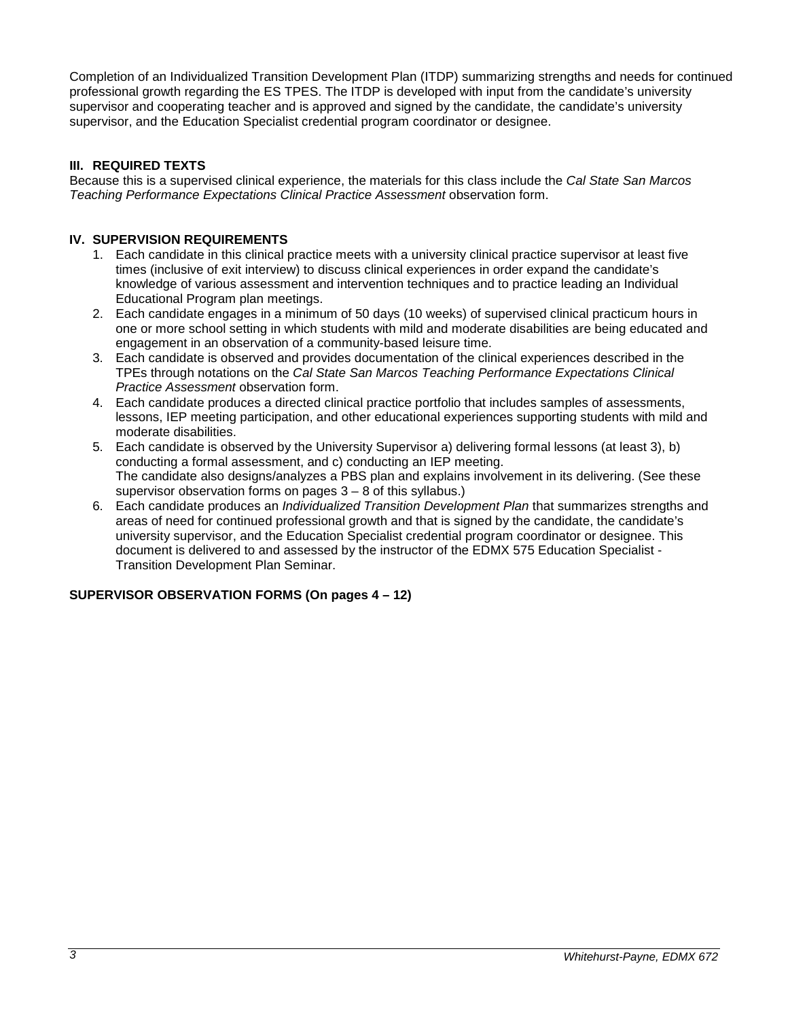Completion of an Individualized Transition Development Plan (ITDP) summarizing strengths and needs for continued professional growth regarding the ES TPES. The ITDP is developed with input from the candidate's university supervisor and cooperating teacher and is approved and signed by the candidate, the candidate's university supervisor, and the Education Specialist credential program coordinator or designee.

## <span id="page-2-0"></span>**III. REQUIRED TEXTS**

Because this is a supervised clinical experience, the materials for this class include the *Cal State San Marcos Teaching Performance Expectations Clinical Practice Assessment* observation form.

## <span id="page-2-1"></span>**IV. SUPERVISION REQUIREMENTS**

- 1. Each candidate in this clinical practice meets with a university clinical practice supervisor at least five times (inclusive of exit interview) to discuss clinical experiences in order expand the candidate's knowledge of various assessment and intervention techniques and to practice leading an Individual Educational Program plan meetings.
- 2. Each candidate engages in a minimum of 50 days (10 weeks) of supervised clinical practicum hours in one or more school setting in which students with mild and moderate disabilities are being educated and engagement in an observation of a community-based leisure time.
- 3. Each candidate is observed and provides documentation of the clinical experiences described in the TPEs through notations on the *Cal State San Marcos Teaching Performance Expectations Clinical Practice Assessment* observation form.
- 4. Each candidate produces a directed clinical practice portfolio that includes samples of assessments, lessons, IEP meeting participation, and other educational experiences supporting students with mild and moderate disabilities.
- 5. Each candidate is observed by the University Supervisor a) delivering formal lessons (at least 3), b) conducting a formal assessment, and c) conducting an IEP meeting. The candidate also designs/analyzes a PBS plan and explains involvement in its delivering. (See these supervisor observation forms on pages  $3 - 8$  of this syllabus.)
- 6. Each candidate produces an *Individualized Transition Development Plan* that summarizes strengths and areas of need for continued professional growth and that is signed by the candidate, the candidate's university supervisor, and the Education Specialist credential program coordinator or designee. This document is delivered to and assessed by the instructor of the EDMX 575 Education Specialist - Transition Development Plan Seminar.

## **SUPERVISOR OBSERVATION FORMS (On pages 4 – 12)**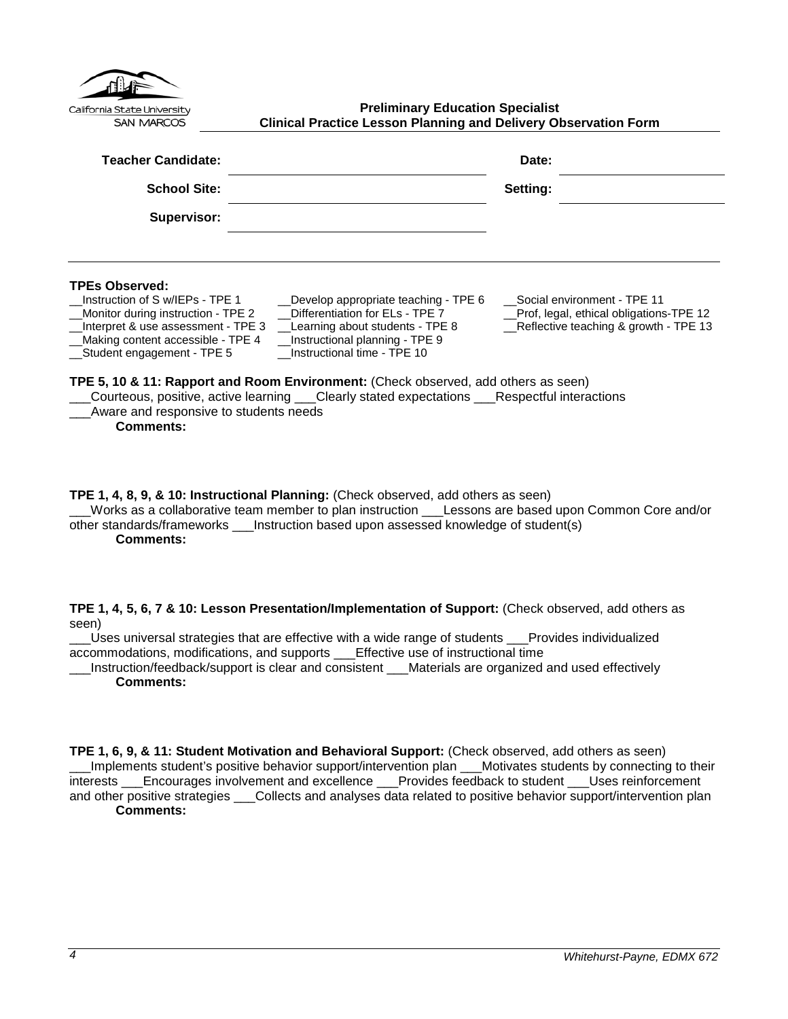<span id="page-3-0"></span>

| California State University<br><b>SAN MARCOS</b>                                                                                                                                                                                                               | <b>Preliminary Education Specialist</b><br><b>Clinical Practice Lesson Planning and Delivery Observation Form</b>                                                                                                                                                                                                                                                       |                                                                                                                 |  |
|----------------------------------------------------------------------------------------------------------------------------------------------------------------------------------------------------------------------------------------------------------------|-------------------------------------------------------------------------------------------------------------------------------------------------------------------------------------------------------------------------------------------------------------------------------------------------------------------------------------------------------------------------|-----------------------------------------------------------------------------------------------------------------|--|
| <b>Teacher Candidate:</b>                                                                                                                                                                                                                                      |                                                                                                                                                                                                                                                                                                                                                                         | Date:                                                                                                           |  |
| <b>School Site:</b>                                                                                                                                                                                                                                            |                                                                                                                                                                                                                                                                                                                                                                         | Setting:                                                                                                        |  |
| Supervisor:                                                                                                                                                                                                                                                    |                                                                                                                                                                                                                                                                                                                                                                         |                                                                                                                 |  |
| <b>TPEs Observed:</b><br>Instruction of S w/IEPs - TPE 1<br>Monitor during instruction - TPE 2<br>Interpret & use assessment - TPE 3<br>Making content accessible - TPE 4<br>Student engagement - TPE 5<br>Aware and responsive to students needs<br>Comments: | __Develop appropriate teaching - TPE 6<br>Differentiation for ELs - TPE 7<br>__Learning about students - TPE 8<br>Instructional planning - TPE 9<br>Instructional time - TPE 10<br>TPE 5, 10 & 11: Rapport and Room Environment: (Check observed, add others as seen)<br>Courteous, positive, active learning ___Clearly stated expectations ___Respectful interactions | Social environment - TPE 11<br>Prof, legal, ethical obligations-TPE 12<br>Reflective teaching & growth - TPE 13 |  |

**TPE 1, 4, 8, 9, & 10: Instructional Planning:** (Check observed, add others as seen) \_\_\_Works as a collaborative team member to plan instruction \_\_\_Lessons are based upon Common Core and/or other standards/frameworks \_\_\_Instruction based upon assessed knowledge of student(s)

**Comments:**

**TPE 1, 4, 5, 6, 7 & 10: Lesson Presentation/Implementation of Support:** (Check observed, add others as seen)

\_\_\_Uses universal strategies that are effective with a wide range of students \_\_\_Provides individualized accommodations, modifications, and supports \_\_\_Effective use of instructional time

\_\_\_Instruction/feedback/support is clear and consistent \_\_\_Materials are organized and used effectively **Comments:**

**TPE 1, 6, 9, & 11: Student Motivation and Behavioral Support:** (Check observed, add others as seen) \_\_\_Implements student's positive behavior support/intervention plan \_\_\_Motivates students by connecting to their interests \_\_\_Encourages involvement and excellence \_\_\_Provides feedback to student \_\_\_Uses reinforcement and other positive strategies \_\_\_Collects and analyses data related to positive behavior support/intervention plan **Comments:**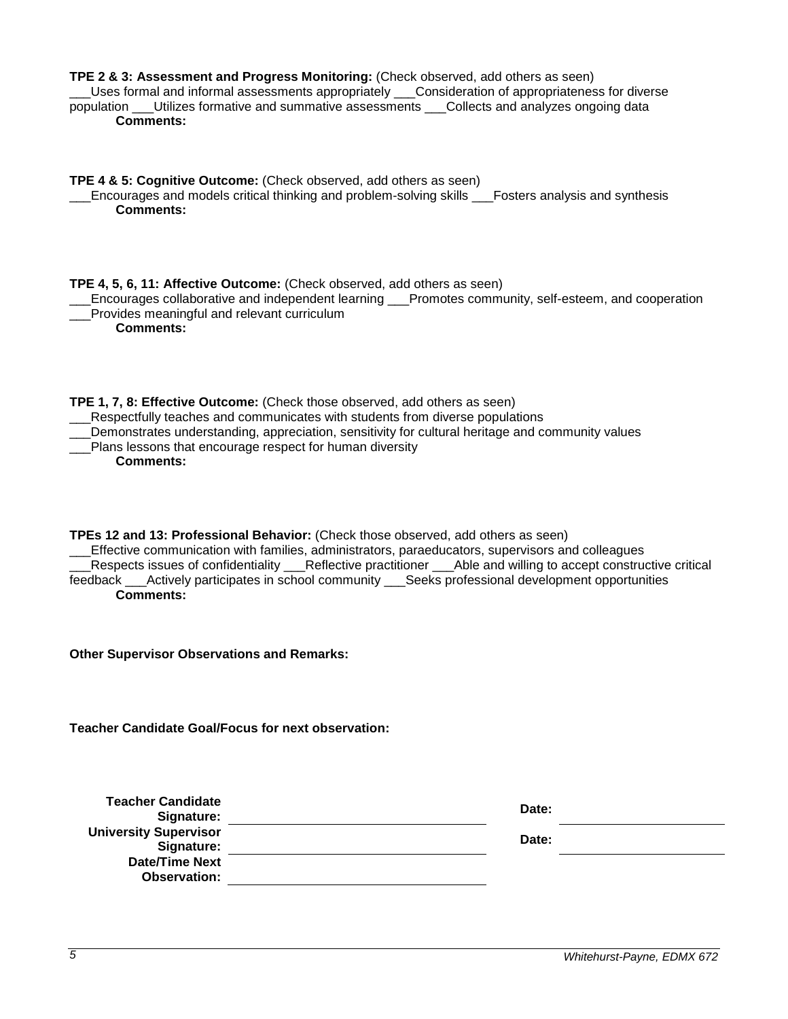| TPE 2 & 3: Assessment and Progress Monitoring: (Check observed, add others as seen)<br>Uses formal and informal assessments appropriately ___Consideration of appropriateness for diverse<br>population ___Utilizes formative and summative assessments ___Collects and analyzes ongoing data<br><b>Comments:</b>                                                                                                                     |       |
|---------------------------------------------------------------------------------------------------------------------------------------------------------------------------------------------------------------------------------------------------------------------------------------------------------------------------------------------------------------------------------------------------------------------------------------|-------|
| TPE 4 & 5: Cognitive Outcome: (Check observed, add others as seen)<br>Encourages and models critical thinking and problem-solving skills ___Fosters analysis and synthesis<br><b>Comments:</b>                                                                                                                                                                                                                                        |       |
| TPE 4, 5, 6, 11: Affective Outcome: (Check observed, add others as seen)<br>Encourages collaborative and independent learning ___Promotes community, self-esteem, and cooperation<br>Provides meaningful and relevant curriculum<br><b>Comments:</b>                                                                                                                                                                                  |       |
| TPE 1, 7, 8: Effective Outcome: (Check those observed, add others as seen)<br>__Respectfully teaches and communicates with students from diverse populations<br>Demonstrates understanding, appreciation, sensitivity for cultural heritage and community values<br>Plans lessons that encourage respect for human diversity<br><b>Comments:</b>                                                                                      |       |
| TPEs 12 and 13: Professional Behavior: (Check those observed, add others as seen)<br>Effective communication with families, administrators, paraeducators, supervisors and colleagues<br>Respects issues of confidentiality __Reflective practitioner __Able and willing to accept constructive critical<br>feedback ___Actively participates in school community ___Seeks professional development opportunities<br><b>Comments:</b> |       |
| <b>Other Supervisor Observations and Remarks:</b>                                                                                                                                                                                                                                                                                                                                                                                     |       |
| <b>Teacher Candidate Goal/Focus for next observation:</b>                                                                                                                                                                                                                                                                                                                                                                             |       |
| <b>Teacher Candidate</b><br>Signature:                                                                                                                                                                                                                                                                                                                                                                                                | Date: |
| <b>University Supervisor</b><br>Signature:                                                                                                                                                                                                                                                                                                                                                                                            | Date: |
| <b>Date/Time Next</b><br><b>Observation:</b>                                                                                                                                                                                                                                                                                                                                                                                          |       |
|                                                                                                                                                                                                                                                                                                                                                                                                                                       |       |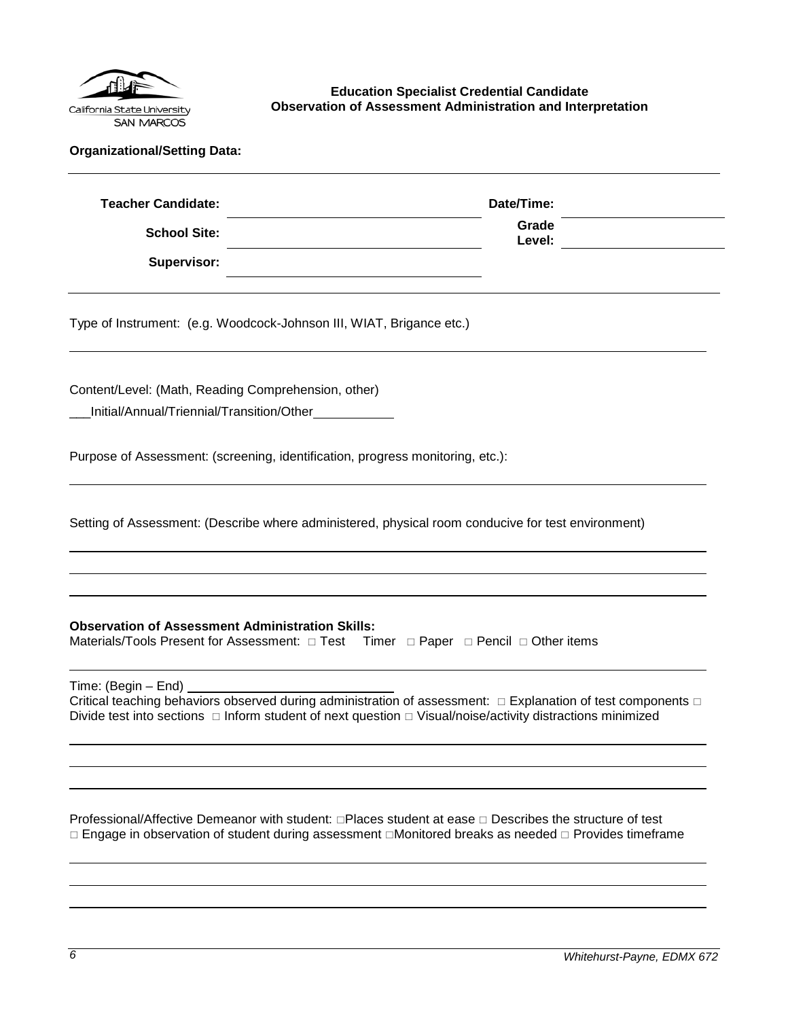

<span id="page-5-0"></span>**Education Specialist Credential Candidate Observation of Assessment Administration and Interpretation**

|  |  | <b>Organizational/Setting Data:</b> |  |
|--|--|-------------------------------------|--|
|--|--|-------------------------------------|--|

| <b>Teacher Candidate:</b> | Date/Time:      |  |
|---------------------------|-----------------|--|
| <b>School Site:</b>       | Grade<br>Level: |  |
| <b>Supervisor:</b>        |                 |  |

Type of Instrument: (e.g. Woodcock-Johnson III, WIAT, Brigance etc.)

Content/Level: (Math, Reading Comprehension, other)

\_\_\_Initial/Annual/Triennial/Transition/Other

Purpose of Assessment: (screening, identification, progress monitoring, etc.):

Setting of Assessment: (Describe where administered, physical room conducive for test environment)

#### **Observation of Assessment Administration Skills:**

Materials/Tools Present for Assessment:  $\Box$  Test Timer  $\Box$  Paper  $\Box$  Pencil  $\Box$  Other items

Time: (Begin – End)

Critical teaching behaviors observed during administration of assessment:  $\Box$  Explanation of test components  $\Box$ Divide test into sections  $\Box$  Inform student of next question  $\Box$  Visual/noise/activity distractions minimized

Professional/Affective Demeanor with student:  $\Box$ Places student at ease  $\Box$  Describes the structure of test  $\Box$  Engage in observation of student during assessment  $\Box$ Monitored breaks as needed  $\Box$  Provides timeframe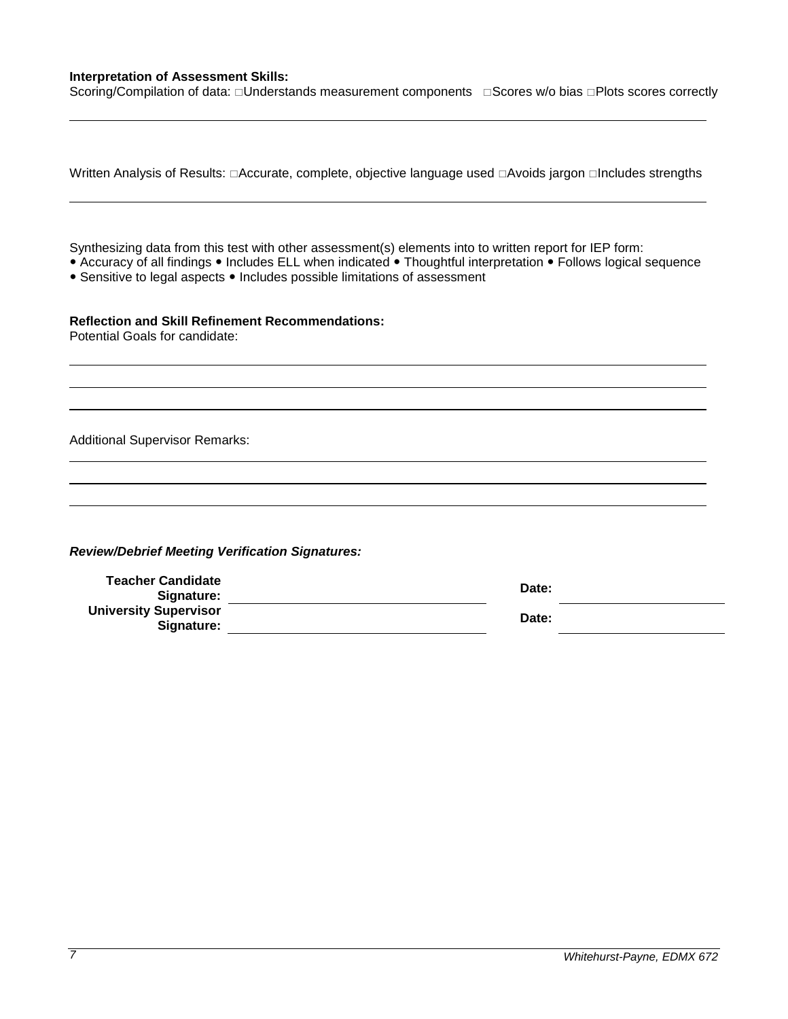## **Interpretation of Assessment Skills:**

Scoring/Compilation of data: Understands measurement components Gores w/o bias DPlots scores correctly

|                                                                                                                                                                                       | Written Analysis of Results: □Accurate, complete, objective language used □Avoids jargon □Includes strengths    |
|---------------------------------------------------------------------------------------------------------------------------------------------------------------------------------------|-----------------------------------------------------------------------------------------------------------------|
| Synthesizing data from this test with other assessment(s) elements into to written report for IEP form:<br>• Sensitive to legal aspects • Includes possible limitations of assessment | • Accuracy of all findings • Includes ELL when indicated • Thoughtful interpretation • Follows logical sequence |
| <b>Reflection and Skill Refinement Recommendations:</b><br>Potential Goals for candidate:                                                                                             |                                                                                                                 |
| <b>Additional Supervisor Remarks:</b>                                                                                                                                                 |                                                                                                                 |
|                                                                                                                                                                                       |                                                                                                                 |
| <b>Review/Debrief Meeting Verification Signatures:</b>                                                                                                                                |                                                                                                                 |
| <b>Teacher Candidate</b><br>Signature:                                                                                                                                                | Date:                                                                                                           |
| <b>University Supervisor</b><br>Signature:                                                                                                                                            | Date:                                                                                                           |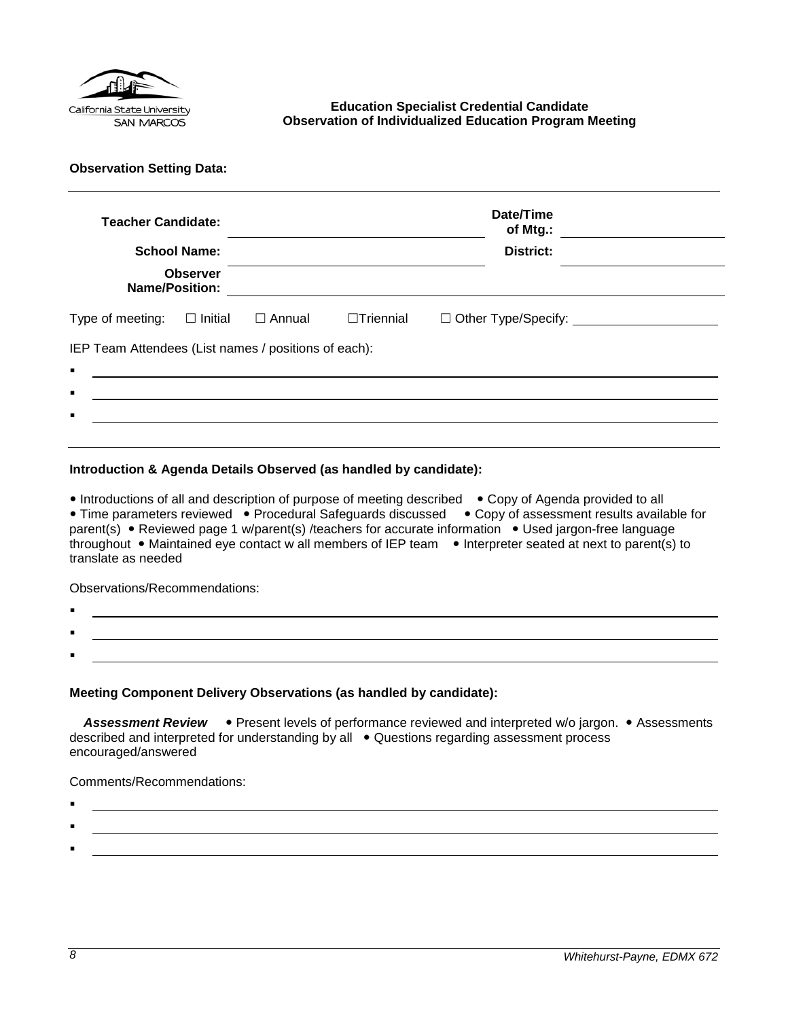

## <span id="page-7-0"></span>**Education Specialist Credential Candidate Observation of Individualized Education Program Meeting**

**Observation Setting Data:** 

| <b>Teacher Candidate:</b><br><b>Name/Position:</b>                     | <b>School Name:</b><br><b>Observer</b> |                                                                                                                      |                  | Date/Time<br>of Mtg.:<br><b>District:</b> |
|------------------------------------------------------------------------|----------------------------------------|----------------------------------------------------------------------------------------------------------------------|------------------|-------------------------------------------|
| Type of meeting:                                                       | $\square$ Initial                      | $\Box$ Annual                                                                                                        | $\Box$ Triennial |                                           |
| IEP Team Attendees (List names / positions of each):<br>$\blacksquare$ |                                        | <u> 1980 - Jan Samuel Barbara, martin din shekara ta 1980 - An tsara tsara tsara tsara tsara tsara tsara tsara t</u> |                  |                                           |
| п                                                                      |                                        |                                                                                                                      |                  |                                           |
| п                                                                      |                                        |                                                                                                                      |                  |                                           |
|                                                                        |                                        |                                                                                                                      |                  |                                           |

## **Introduction & Agenda Details Observed (as handled by candidate):**

• Introductions of all and description of purpose of meeting described • Copy of Agenda provided to all • Time parameters reviewed • Procedural Safeguards discussed • Copy of assessment results available for parent(s) • Reviewed page 1 w/parent(s) /teachers for accurate information • Used jargon-free language throughout • Maintained eye contact w all members of IEP team • Interpreter seated at next to parent(s) to translate as needed

Observations/Recommendations:

- . .
- **Meeting Component Delivery Observations (as handled by candidate):**

Assessment Review . Present levels of performance reviewed and interpreted w/o jargon. • Assessments described and interpreted for understanding by all • Questions regarding assessment process encouraged/answered

Comments/Recommendations:

- :
- .

.

: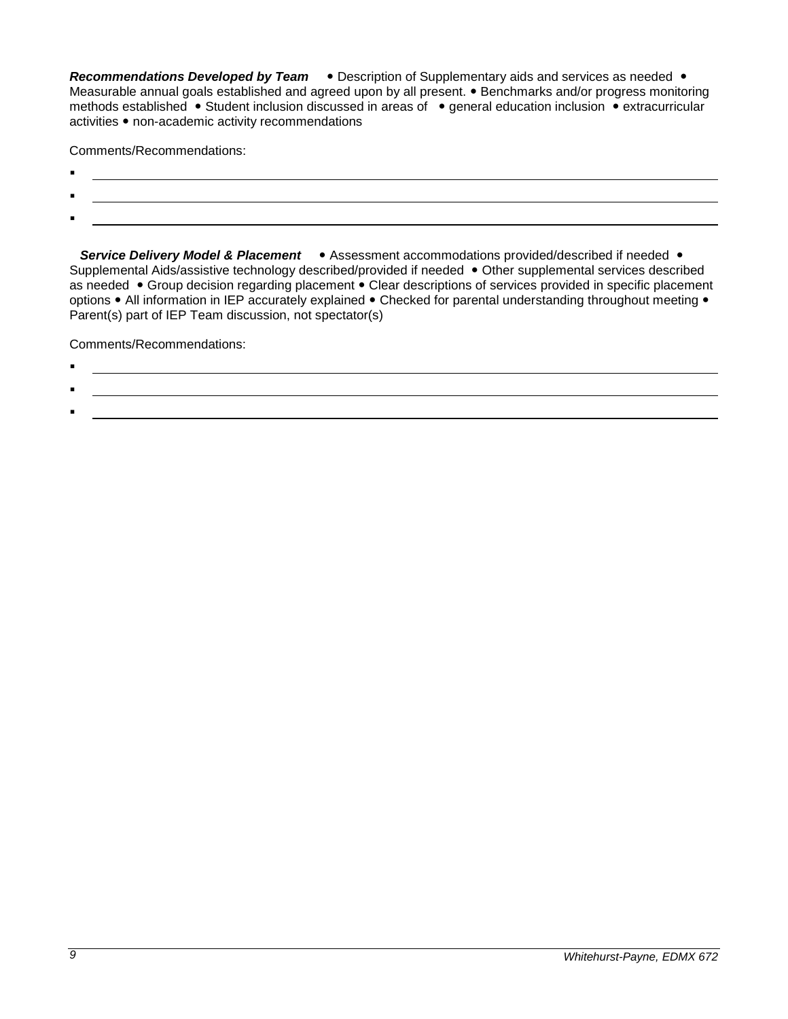**Recommendations Developed by Team •** Description of Supplementary aids and services as needed • Measurable annual goals established and agreed upon by all present. • Benchmarks and/or progress monitoring methods established • Student inclusion discussed in areas of • general education inclusion • extracurricular activities • non-academic activity recommendations

Comments/Recommendations:

- $\blacksquare$
- $\blacksquare$
- :

**Service Delivery Model & Placement •** Assessment accommodations provided/described if needed • Supplemental Aids/assistive technology described/provided if needed • Other supplemental services described as needed • Group decision regarding placement • Clear descriptions of services provided in specific placement options • All information in IEP accurately explained • Checked for parental understanding throughout meeting • Parent(s) part of IEP Team discussion, not spectator(s)

Comments/Recommendations:

.

:

# .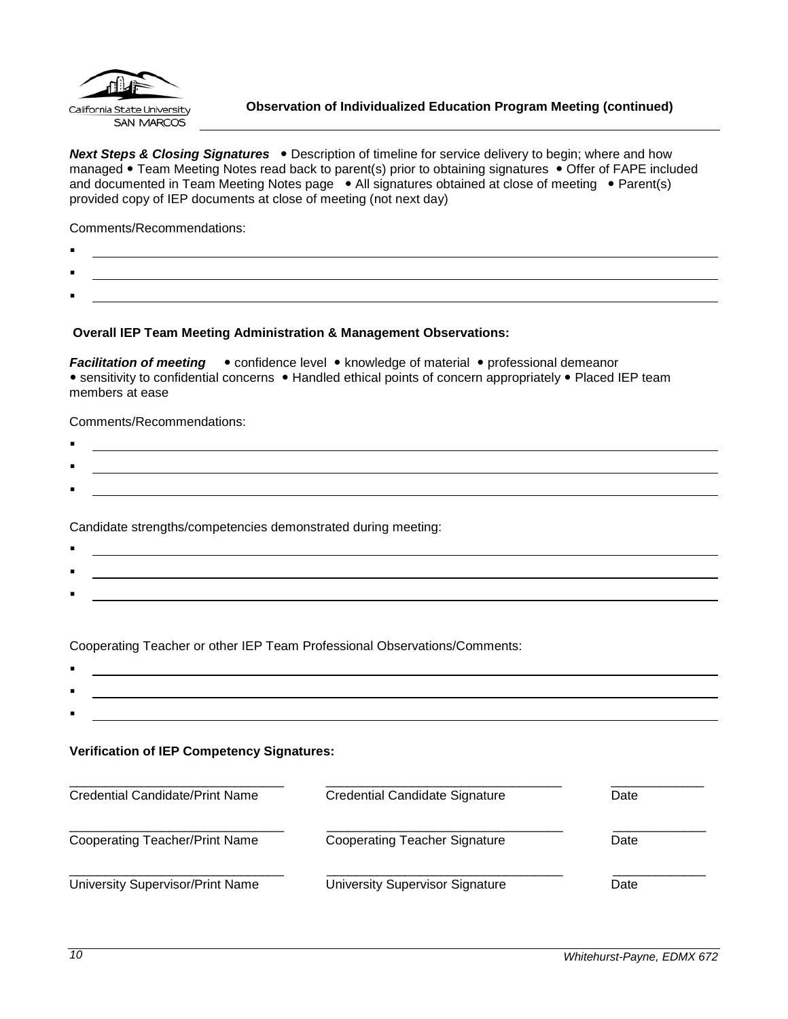

<span id="page-9-0"></span>**Next Steps & Closing Signatures** . Description of timeline for service delivery to begin; where and how managed • Team Meeting Notes read back to parent(s) prior to obtaining signatures • Offer of FAPE included and documented in Team Meeting Notes page . All signatures obtained at close of meeting . Parent(s) provided copy of IEP documents at close of meeting (not next day)

Comments/Recommendations:

- $\blacksquare$
- .
- :

## **Overall IEP Team Meeting Administration & Management Observations:**

*Facilitation of meeting* • confidence level • knowledge of material • professional demeanor • sensitivity to confidential concerns • Handled ethical points of concern appropriately • Placed IEP team members at ease

Comments/Recommendations:

 $\blacksquare$ : .

Candidate strengths/competencies demonstrated during meeting:

 $\blacksquare$ : <u> 1989 - Johann Stoff, amerikansk politiker (d. 1989)</u> :

Cooperating Teacher or other IEP Team Professional Observations/Comments:

. :

## **Verification of IEP Competency Signatures:**

| <b>Credential Candidate/Print Name</b> | Credential Candidate Signature       | Date |
|----------------------------------------|--------------------------------------|------|
| <b>Cooperating Teacher/Print Name</b>  | <b>Cooperating Teacher Signature</b> | Date |
| University Supervisor/Print Name       | University Supervisor Signature      | Date |

: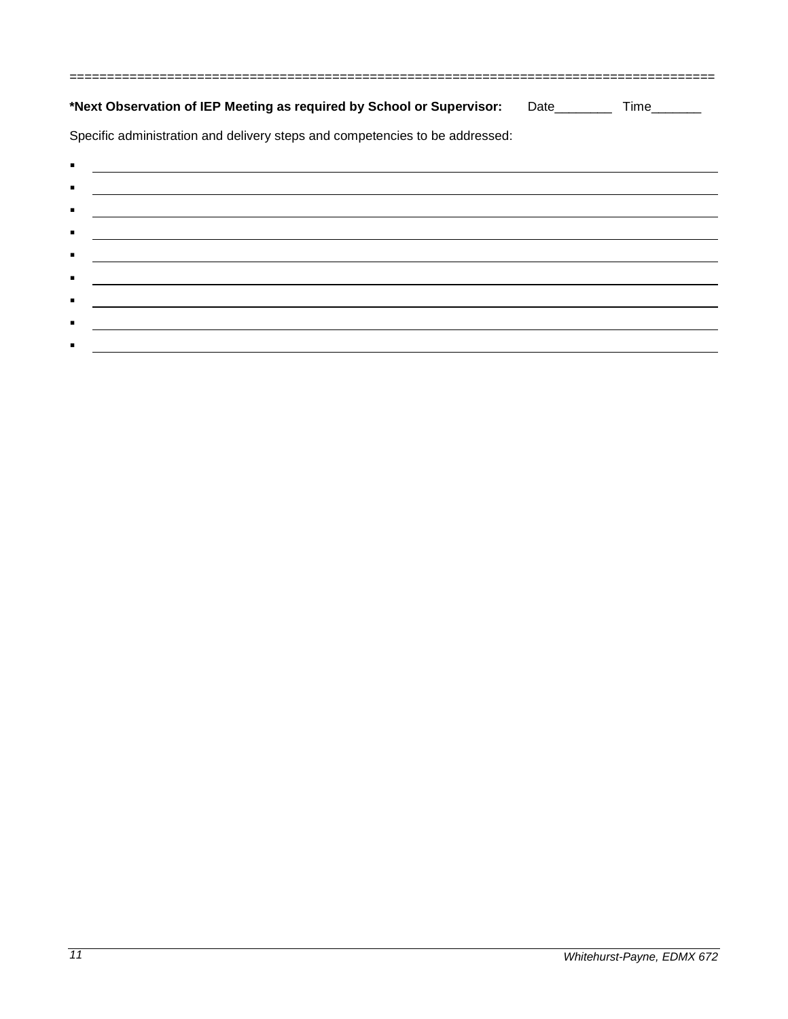|                | *Next Observation of IEP Meeting as required by School or Supervisor: Date_________ Time_______                      |  |
|----------------|----------------------------------------------------------------------------------------------------------------------|--|
|                | Specific administration and delivery steps and competencies to be addressed:                                         |  |
| ٠              | <u> Andreas Andreas Andreas Andreas Andreas Andreas Andreas Andreas Andreas Andreas Andreas Andreas Andreas Andr</u> |  |
| $\blacksquare$ |                                                                                                                      |  |
| $\blacksquare$ | <u> 1989 - Johann Stoff, amerikansk politiker (d. 1989)</u>                                                          |  |
| ٠              | <u> 1989 - Johann Stoff, amerikansk politiker (d. 1989)</u>                                                          |  |
| ٠              | <u> Alexandria de la contrada de la contrada de la contrada de la contrada de la contrada de la contrada de la c</u> |  |
| $\blacksquare$ | and the control of the control of the control of the control of the control of the control of the control of the     |  |
| $\blacksquare$ |                                                                                                                      |  |
|                |                                                                                                                      |  |

 $\blacksquare$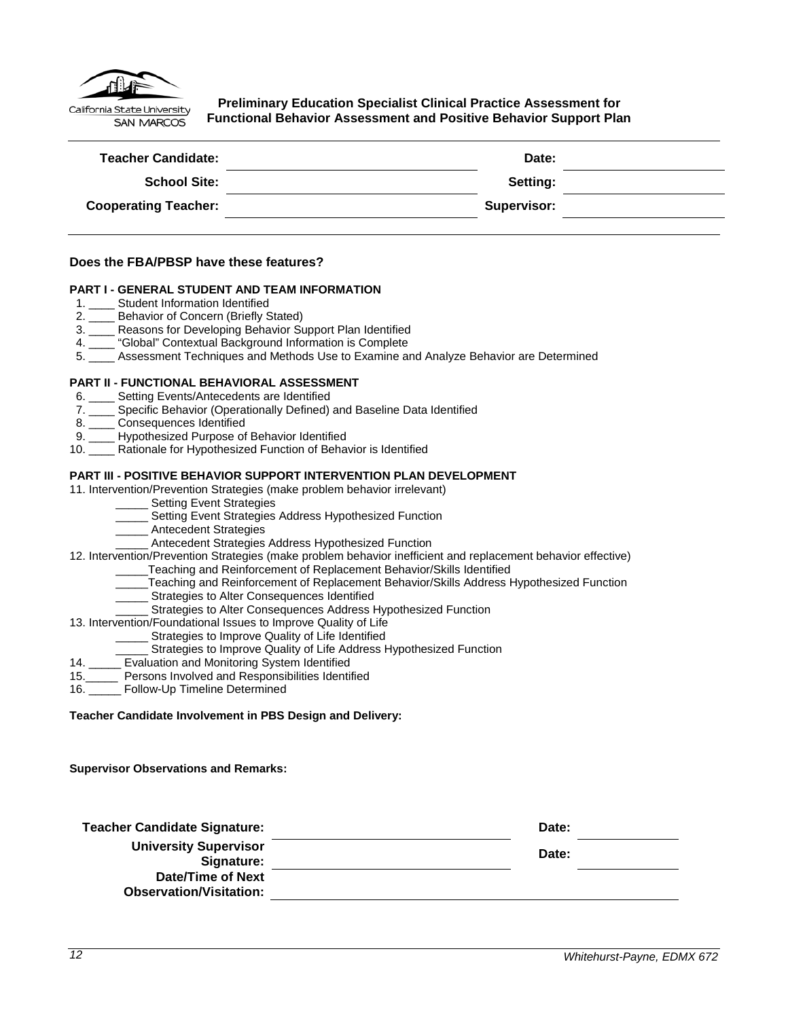

<span id="page-11-0"></span>**Preliminary Education Specialist Clinical Practice Assessment for Functional Behavior Assessment and Positive Behavior Support Plan**

| <b>Teacher Candidate:</b>   | Date:       |  |
|-----------------------------|-------------|--|
| <b>School Site:</b>         | Setting:    |  |
| <b>Cooperating Teacher:</b> | Supervisor: |  |
|                             |             |  |

#### **Does the FBA/PBSP have these features?**

#### **PART I - GENERAL STUDENT AND TEAM INFORMATION**

- 1. Student Information Identified
- 2. \_\_\_\_ Behavior of Concern (Briefly Stated)
- 3. \_\_\_\_ Reasons for Developing Behavior Support Plan Identified
- 4. \_\_\_\_ "Global" Contextual Background Information is Complete
- 5. \_\_\_\_ Assessment Techniques and Methods Use to Examine and Analyze Behavior are Determined

#### **PART II - FUNCTIONAL BEHAVIORAL ASSESSMENT**

- 6. \_\_\_\_ Setting Events/Antecedents are Identified
- 7. \_\_\_\_ Specific Behavior (Operationally Defined) and Baseline Data Identified
- 8. \_\_\_\_ Consequences Identified
- 9. \_\_\_\_ Hypothesized Purpose of Behavior Identified
- 10. \_\_\_\_ Rationale for Hypothesized Function of Behavior is Identified

#### **PART III - POSITIVE BEHAVIOR SUPPORT INTERVENTION PLAN DEVELOPMENT**

#### 11. Intervention/Prevention Strategies (make problem behavior irrelevant)

- Setting Event Strategies
- \_\_\_\_\_ Setting Event Strategies Address Hypothesized Function
- \_\_\_\_\_ Antecedent Strategies
- \_\_\_\_\_ Antecedent Strategies Address Hypothesized Function
- 12. Intervention/Prevention Strategies (make problem behavior inefficient and replacement behavior effective)
	- Teaching and Reinforcement of Replacement Behavior/Skills Identified
	- \_\_\_\_\_Teaching and Reinforcement of Replacement Behavior/Skills Address Hypothesized Function
	- \_\_\_\_\_ Strategies to Alter Consequences Identified
	- Strategies to Alter Consequences Address Hypothesized Function

#### 13. Intervention/Foundational Issues to Improve Quality of Life

- Strategies to Improve Quality of Life Identified
- Strategies to Improve Quality of Life Address Hypothesized Function
- 14. \_\_\_\_\_ Evaluation and Monitoring System Identified
- 15.\_\_\_\_\_ Persons Involved and Responsibilities Identified
- 16. Follow-Up Timeline Determined

**Teacher Candidate Involvement in PBS Design and Delivery:**

**Supervisor Observations and Remarks:**

| <b>Teacher Candidate Signature:</b>                 | Date: |  |
|-----------------------------------------------------|-------|--|
| <b>University Supervisor</b><br>Signature:          | Date: |  |
| Date/Time of Next<br><b>Observation/Visitation:</b> |       |  |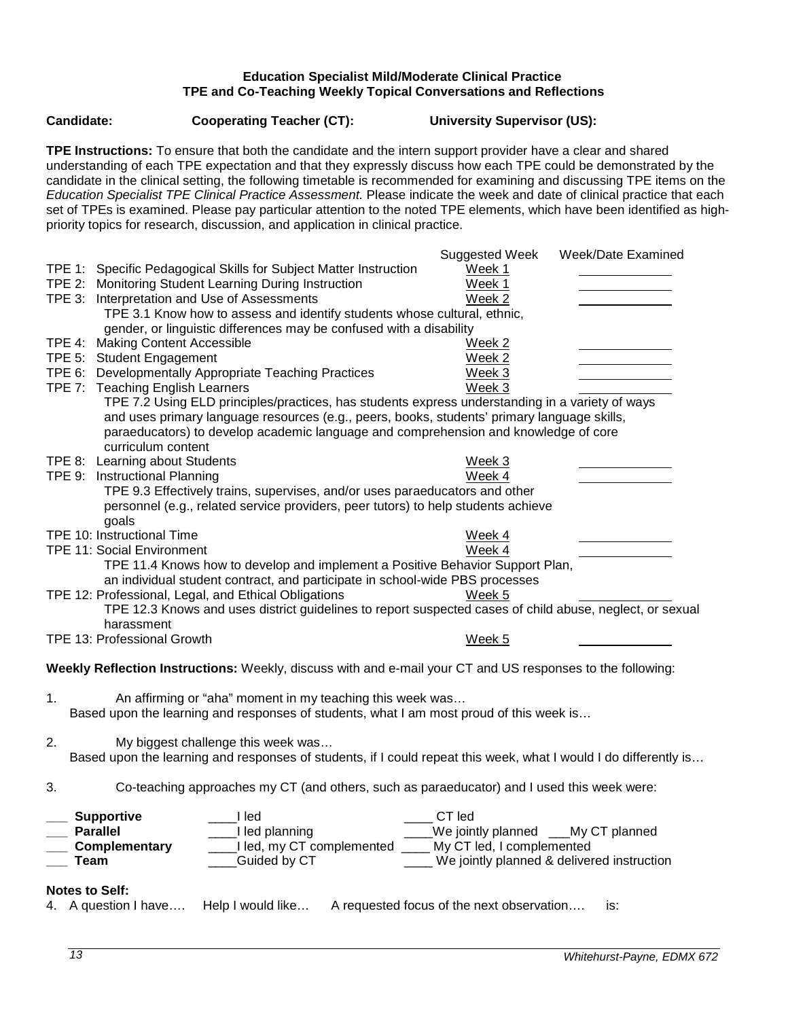## **Education Specialist Mild/Moderate Clinical Practice TPE and Co-Teaching Weekly Topical Conversations and Reflections**

<span id="page-12-0"></span>**Candidate: Cooperating Teacher (CT): University Supervisor (US):**

**TPE Instructions:** To ensure that both the candidate and the intern support provider have a clear and shared understanding of each TPE expectation and that they expressly discuss how each TPE could be demonstrated by the candidate in the clinical setting, the following timetable is recommended for examining and discussing TPE items on the *Education Specialist TPE Clinical Practice Assessment.* Please indicate the week and date of clinical practice that each set of TPEs is examined. Please pay particular attention to the noted TPE elements, which have been identified as highpriority topics for research, discussion, and application in clinical practice.

|                                                                                                                                     | Week/Date Examined<br><b>Suggested Week</b>      |
|-------------------------------------------------------------------------------------------------------------------------------------|--------------------------------------------------|
| TPE 1: Specific Pedagogical Skills for Subject Matter Instruction                                                                   | Week 1                                           |
| TPE 2: Monitoring Student Learning During Instruction                                                                               | Week 1                                           |
| TPE 3: Interpretation and Use of Assessments                                                                                        | Week 2                                           |
| TPE 3.1 Know how to assess and identify students whose cultural, ethnic,                                                            |                                                  |
| gender, or linguistic differences may be confused with a disability                                                                 |                                                  |
| TPE 4: Making Content Accessible                                                                                                    | Week <sub>2</sub>                                |
| TPE 5: Student Engagement                                                                                                           | Week 2                                           |
| TPE 6: Developmentally Appropriate Teaching Practices                                                                               | Week 3<br>Week 3                                 |
| TPE 7: Teaching English Learners<br>TPE 7.2 Using ELD principles/practices, has students express understanding in a variety of ways |                                                  |
| and uses primary language resources (e.g., peers, books, students' primary language skills,                                         |                                                  |
| paraeducators) to develop academic language and comprehension and knowledge of core                                                 |                                                  |
| curriculum content                                                                                                                  |                                                  |
| TPE 8: Learning about Students                                                                                                      | Week 3                                           |
| TPE 9: Instructional Planning                                                                                                       | Week 4                                           |
| TPE 9.3 Effectively trains, supervises, and/or uses paraeducators and other                                                         |                                                  |
| personnel (e.g., related service providers, peer tutors) to help students achieve                                                   |                                                  |
| goals                                                                                                                               |                                                  |
| TPE 10: Instructional Time                                                                                                          | Week 4                                           |
| <b>TPE 11: Social Environment</b>                                                                                                   | Week 4                                           |
| TPE 11.4 Knows how to develop and implement a Positive Behavior Support Plan,                                                       |                                                  |
| an individual student contract, and participate in school-wide PBS processes                                                        |                                                  |
| TPE 12: Professional, Legal, and Ethical Obligations                                                                                | Week 5                                           |
| TPE 12.3 Knows and uses district guidelines to report suspected cases of child abuse, neglect, or sexual                            |                                                  |
| harassment                                                                                                                          |                                                  |
| <b>TPE 13: Professional Growth</b>                                                                                                  | Week 5                                           |
|                                                                                                                                     |                                                  |
| Weekly Reflection Instructions: Weekly, discuss with and e-mail your CT and US responses to the following:                          |                                                  |
|                                                                                                                                     |                                                  |
| 1.<br>An affirming or "aha" moment in my teaching this week was                                                                     |                                                  |
| Based upon the learning and responses of students, what I am most proud of this week is                                             |                                                  |
| 2.<br>My biggest challenge this week was                                                                                            |                                                  |
| Based upon the learning and responses of students, if I could repeat this week, what I would I do differently is                    |                                                  |
|                                                                                                                                     |                                                  |
| Co-teaching approaches my CT (and others, such as paraeducator) and I used this week were:<br>3.                                    |                                                  |
|                                                                                                                                     |                                                  |
| <b>Supportive</b><br>l led                                                                                                          | CT led                                           |
| ___I led planning<br><b>Parallel</b>                                                                                                | ___We jointly planned ___My CT planned           |
| ___I led, my CT complemented ____ My CT led, I complemented<br>Complementary                                                        |                                                  |
| Guided by CT<br>Team                                                                                                                | We jointly planned & delivered instruction       |
|                                                                                                                                     |                                                  |
| <b>Notes to Self:</b>                                                                                                               |                                                  |
| Help I would like<br>4. A question I have                                                                                           | A requested focus of the next observation<br>is: |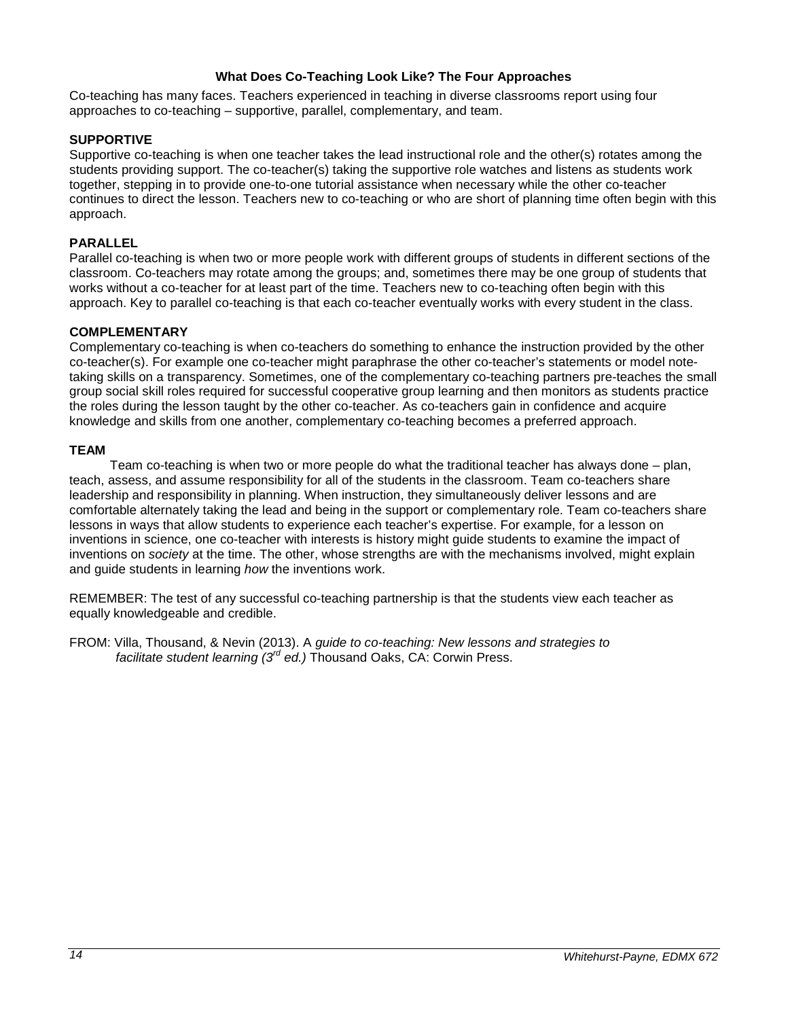## **What Does Co-Teaching Look Like? The Four Approaches**

<span id="page-13-0"></span>Co-teaching has many faces. Teachers experienced in teaching in diverse classrooms report using four approaches to co-teaching – supportive, parallel, complementary, and team.

## **SUPPORTIVE**

Supportive co-teaching is when one teacher takes the lead instructional role and the other(s) rotates among the students providing support. The co-teacher(s) taking the supportive role watches and listens as students work together, stepping in to provide one-to-one tutorial assistance when necessary while the other co-teacher continues to direct the lesson. Teachers new to co-teaching or who are short of planning time often begin with this approach.

## **PARALLEL**

Parallel co-teaching is when two or more people work with different groups of students in different sections of the classroom. Co-teachers may rotate among the groups; and, sometimes there may be one group of students that works without a co-teacher for at least part of the time. Teachers new to co-teaching often begin with this approach. Key to parallel co-teaching is that each co-teacher eventually works with every student in the class.

#### **COMPLEMENTARY**

Complementary co-teaching is when co-teachers do something to enhance the instruction provided by the other co-teacher(s). For example one co-teacher might paraphrase the other co-teacher's statements or model notetaking skills on a transparency. Sometimes, one of the complementary co-teaching partners pre-teaches the small group social skill roles required for successful cooperative group learning and then monitors as students practice the roles during the lesson taught by the other co-teacher. As co-teachers gain in confidence and acquire knowledge and skills from one another, complementary co-teaching becomes a preferred approach.

#### **TEAM**

Team co-teaching is when two or more people do what the traditional teacher has always done – plan, teach, assess, and assume responsibility for all of the students in the classroom. Team co-teachers share leadership and responsibility in planning. When instruction, they simultaneously deliver lessons and are comfortable alternately taking the lead and being in the support or complementary role. Team co-teachers share lessons in ways that allow students to experience each teacher's expertise. For example, for a lesson on inventions in science, one co-teacher with interests is history might guide students to examine the impact of inventions on *society* at the time. The other, whose strengths are with the mechanisms involved, might explain and guide students in learning *how* the inventions work.

REMEMBER: The test of any successful co-teaching partnership is that the students view each teacher as equally knowledgeable and credible.

FROM: Villa, Thousand, & Nevin (2013). A *guide to co-teaching: New lessons and strategies to facilitate student learning (3rd ed.)* Thousand Oaks, CA: Corwin Press.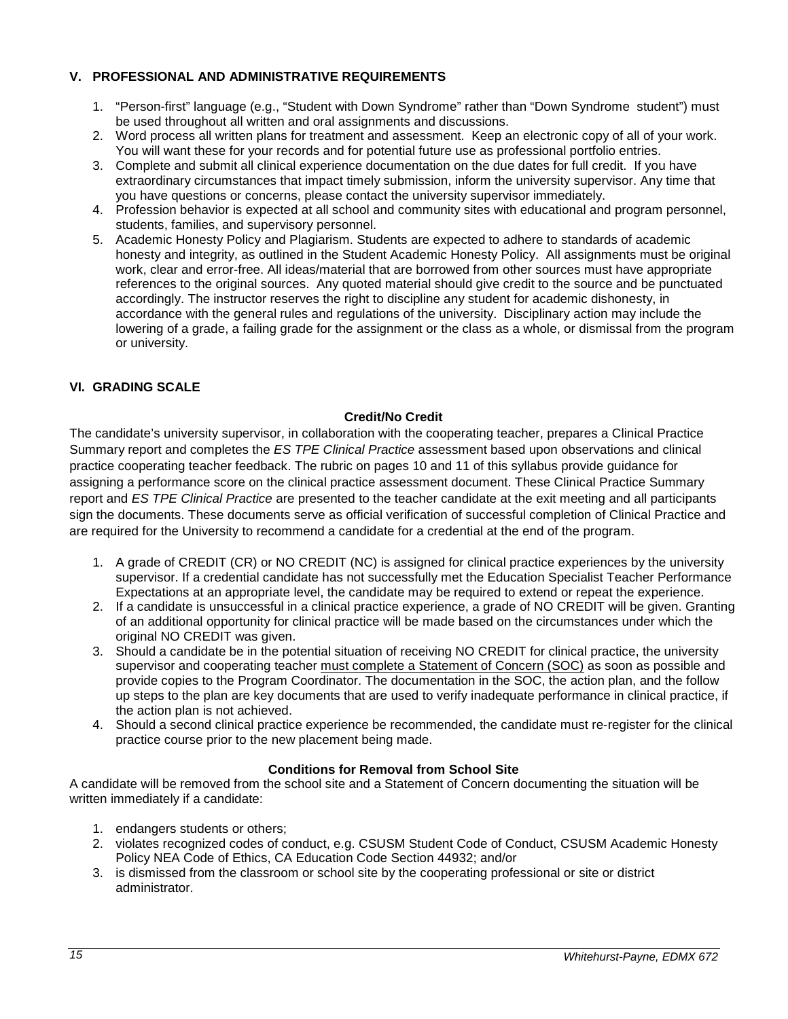## <span id="page-14-0"></span>**V. PROFESSIONAL AND ADMINISTRATIVE REQUIREMENTS**

- 1. "Person-first" language (e.g., "Student with Down Syndrome" rather than "Down Syndrome student") must be used throughout all written and oral assignments and discussions.
- 2. Word process all written plans for treatment and assessment. Keep an electronic copy of all of your work. You will want these for your records and for potential future use as professional portfolio entries.
- 3. Complete and submit all clinical experience documentation on the due dates for full credit. If you have extraordinary circumstances that impact timely submission, inform the university supervisor. Any time that you have questions or concerns, please contact the university supervisor immediately.
- 4. Profession behavior is expected at all school and community sites with educational and program personnel, students, families, and supervisory personnel.
- 5. Academic Honesty Policy and Plagiarism. Students are expected to adhere to standards of academic honesty and integrity, as outlined in the Student Academic Honesty Policy. All assignments must be original work, clear and error-free. All ideas/material that are borrowed from other sources must have appropriate references to the original sources. Any quoted material should give credit to the source and be punctuated accordingly. The instructor reserves the right to discipline any student for academic dishonesty, in accordance with the general rules and regulations of the university. Disciplinary action may include the lowering of a grade, a failing grade for the assignment or the class as a whole, or dismissal from the program or university.

## <span id="page-14-1"></span>**VI. GRADING SCALE**

## **Credit/No Credit**

<span id="page-14-2"></span>The candidate's university supervisor, in collaboration with the cooperating teacher, prepares a Clinical Practice Summary report and completes the *ES TPE Clinical Practice* assessment based upon observations and clinical practice cooperating teacher feedback. The rubric on pages 10 and 11 of this syllabus provide guidance for assigning a performance score on the clinical practice assessment document. These Clinical Practice Summary report and *ES TPE Clinical Practice* are presented to the teacher candidate at the exit meeting and all participants sign the documents. These documents serve as official verification of successful completion of Clinical Practice and are required for the University to recommend a candidate for a credential at the end of the program.

- 1. A grade of CREDIT (CR) or NO CREDIT (NC) is assigned for clinical practice experiences by the university supervisor. If a credential candidate has not successfully met the Education Specialist Teacher Performance Expectations at an appropriate level, the candidate may be required to extend or repeat the experience.
- 2. If a candidate is unsuccessful in a clinical practice experience, a grade of NO CREDIT will be given. Granting of an additional opportunity for clinical practice will be made based on the circumstances under which the original NO CREDIT was given.
- 3. Should a candidate be in the potential situation of receiving NO CREDIT for clinical practice, the university supervisor and cooperating teacher must complete a Statement of Concern (SOC) as soon as possible and provide copies to the Program Coordinator. The documentation in the SOC, the action plan, and the follow up steps to the plan are key documents that are used to verify inadequate performance in clinical practice, if the action plan is not achieved.
- 4. Should a second clinical practice experience be recommended, the candidate must re-register for the clinical practice course prior to the new placement being made.

## **Conditions for Removal from School Site**

<span id="page-14-3"></span>A candidate will be removed from the school site and a Statement of Concern documenting the situation will be written immediately if a candidate:

- 1. endangers students or others;
- 2. violates recognized codes of conduct, e.g. CSUSM Student Code of Conduct, CSUSM Academic Honesty Policy NEA Code of Ethics, CA Education Code Section 44932; and/or
- 3. is dismissed from the classroom or school site by the cooperating professional or site or district administrator.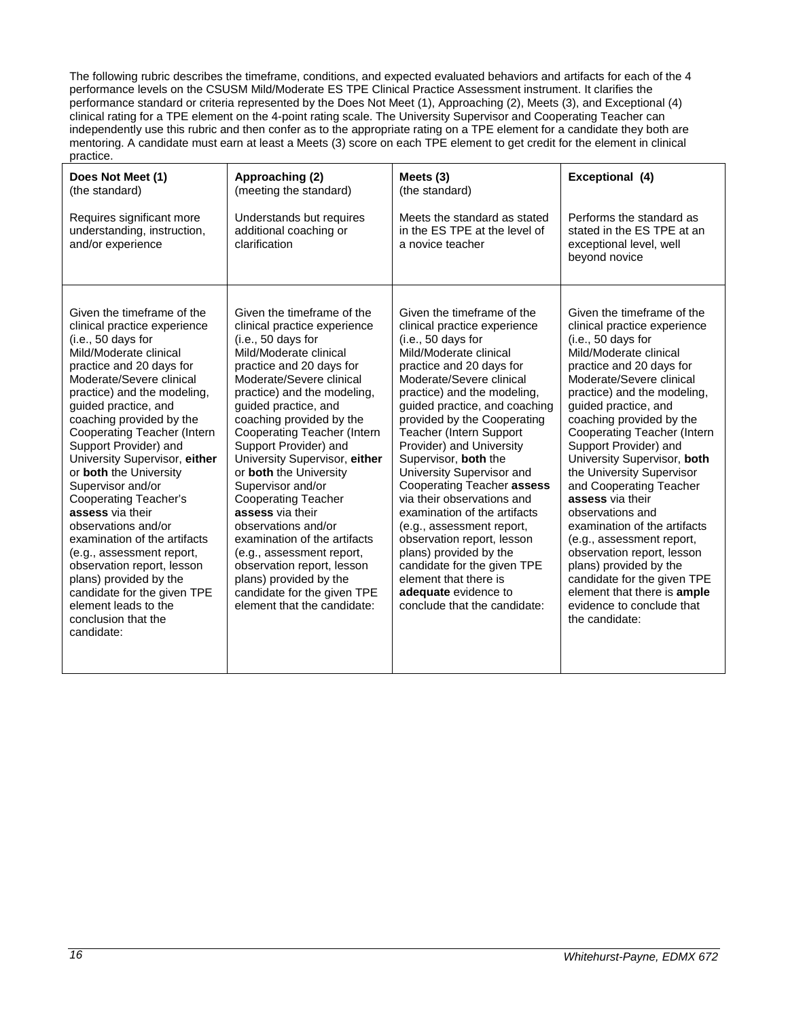The following rubric describes the timeframe, conditions, and expected evaluated behaviors and artifacts for each of the 4 performance levels on the CSUSM Mild/Moderate ES TPE Clinical Practice Assessment instrument. It clarifies the performance standard or criteria represented by the Does Not Meet (1), Approaching (2), Meets (3), and Exceptional (4) clinical rating for a TPE element on the 4-point rating scale. The University Supervisor and Cooperating Teacher can independently use this rubric and then confer as to the appropriate rating on a TPE element for a candidate they both are mentoring. A candidate must earn at least a Meets (3) score on each TPE element to get credit for the element in clinical practice.

| Does Not Meet (1)                                                                                                                                                                                                                                                                                                                                                                                                                                                                                                                                                                                                                                                                         | Approaching (2)                                                                                                                                                                                                                                                                                                                                                                                                                                                                                                                                                                                                                                           | Meets $(3)$                                                                                                                                                                                                                                                                                                                                                                                                                                                                                                                                                                                                                                                                            | Exceptional (4)                                                                                                                                                                                                                                                                                                                                                                                                                                                                                                                                                                                                                                                                       |
|-------------------------------------------------------------------------------------------------------------------------------------------------------------------------------------------------------------------------------------------------------------------------------------------------------------------------------------------------------------------------------------------------------------------------------------------------------------------------------------------------------------------------------------------------------------------------------------------------------------------------------------------------------------------------------------------|-----------------------------------------------------------------------------------------------------------------------------------------------------------------------------------------------------------------------------------------------------------------------------------------------------------------------------------------------------------------------------------------------------------------------------------------------------------------------------------------------------------------------------------------------------------------------------------------------------------------------------------------------------------|----------------------------------------------------------------------------------------------------------------------------------------------------------------------------------------------------------------------------------------------------------------------------------------------------------------------------------------------------------------------------------------------------------------------------------------------------------------------------------------------------------------------------------------------------------------------------------------------------------------------------------------------------------------------------------------|---------------------------------------------------------------------------------------------------------------------------------------------------------------------------------------------------------------------------------------------------------------------------------------------------------------------------------------------------------------------------------------------------------------------------------------------------------------------------------------------------------------------------------------------------------------------------------------------------------------------------------------------------------------------------------------|
| (the standard)                                                                                                                                                                                                                                                                                                                                                                                                                                                                                                                                                                                                                                                                            | (meeting the standard)                                                                                                                                                                                                                                                                                                                                                                                                                                                                                                                                                                                                                                    | (the standard)                                                                                                                                                                                                                                                                                                                                                                                                                                                                                                                                                                                                                                                                         | Performs the standard as                                                                                                                                                                                                                                                                                                                                                                                                                                                                                                                                                                                                                                                              |
| Requires significant more                                                                                                                                                                                                                                                                                                                                                                                                                                                                                                                                                                                                                                                                 | Understands but requires                                                                                                                                                                                                                                                                                                                                                                                                                                                                                                                                                                                                                                  | Meets the standard as stated                                                                                                                                                                                                                                                                                                                                                                                                                                                                                                                                                                                                                                                           | stated in the ES TPE at an                                                                                                                                                                                                                                                                                                                                                                                                                                                                                                                                                                                                                                                            |
| understanding, instruction,                                                                                                                                                                                                                                                                                                                                                                                                                                                                                                                                                                                                                                                               | additional coaching or                                                                                                                                                                                                                                                                                                                                                                                                                                                                                                                                                                                                                                    | in the ES TPE at the level of                                                                                                                                                                                                                                                                                                                                                                                                                                                                                                                                                                                                                                                          | exceptional level, well                                                                                                                                                                                                                                                                                                                                                                                                                                                                                                                                                                                                                                                               |
| and/or experience                                                                                                                                                                                                                                                                                                                                                                                                                                                                                                                                                                                                                                                                         | clarification                                                                                                                                                                                                                                                                                                                                                                                                                                                                                                                                                                                                                                             | a novice teacher                                                                                                                                                                                                                                                                                                                                                                                                                                                                                                                                                                                                                                                                       | beyond novice                                                                                                                                                                                                                                                                                                                                                                                                                                                                                                                                                                                                                                                                         |
| Given the timeframe of the<br>clinical practice experience<br>(i.e., 50 days for<br>Mild/Moderate clinical<br>practice and 20 days for<br>Moderate/Severe clinical<br>practice) and the modeling,<br>guided practice, and<br>coaching provided by the<br>Cooperating Teacher (Intern<br>Support Provider) and<br>University Supervisor, either<br>or both the University<br>Supervisor and/or<br><b>Cooperating Teacher's</b><br>assess via their<br>observations and/or<br>examination of the artifacts<br>(e.g., assessment report,<br>observation report, lesson<br>plans) provided by the<br>candidate for the given TPE<br>element leads to the<br>conclusion that the<br>candidate: | Given the timeframe of the<br>clinical practice experience<br>(i.e., 50 days for<br>Mild/Moderate clinical<br>practice and 20 days for<br>Moderate/Severe clinical<br>practice) and the modeling,<br>guided practice, and<br>coaching provided by the<br>Cooperating Teacher (Intern<br>Support Provider) and<br>University Supervisor, either<br>or both the University<br>Supervisor and/or<br><b>Cooperating Teacher</b><br>assess via their<br>observations and/or<br>examination of the artifacts<br>(e.g., assessment report,<br>observation report, lesson<br>plans) provided by the<br>candidate for the given TPE<br>element that the candidate: | Given the timeframe of the<br>clinical practice experience<br>(i.e., 50 days for<br>Mild/Moderate clinical<br>practice and 20 days for<br>Moderate/Severe clinical<br>practice) and the modeling,<br>guided practice, and coaching<br>provided by the Cooperating<br><b>Teacher (Intern Support)</b><br>Provider) and University<br>Supervisor, both the<br>University Supervisor and<br>Cooperating Teacher assess<br>via their observations and<br>examination of the artifacts<br>(e.g., assessment report,<br>observation report, lesson<br>plans) provided by the<br>candidate for the given TPE<br>element that there is<br>adequate evidence to<br>conclude that the candidate: | Given the timeframe of the<br>clinical practice experience<br>(i.e., 50 days for<br>Mild/Moderate clinical<br>practice and 20 days for<br>Moderate/Severe clinical<br>practice) and the modeling,<br>guided practice, and<br>coaching provided by the<br><b>Cooperating Teacher (Intern</b><br>Support Provider) and<br>University Supervisor, both<br>the University Supervisor<br>and Cooperating Teacher<br>assess via their<br>observations and<br>examination of the artifacts<br>(e.g., assessment report,<br>observation report, lesson<br>plans) provided by the<br>candidate for the given TPE<br>element that there is ample<br>evidence to conclude that<br>the candidate: |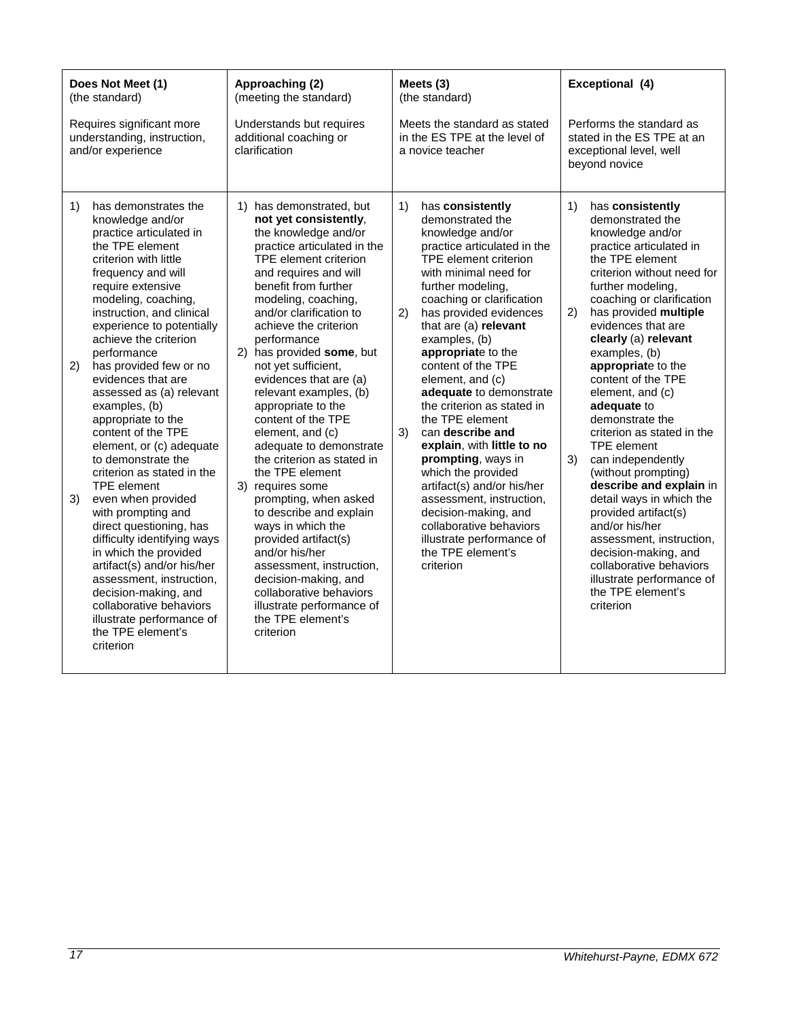| Does Not Meet (1)<br>(the standard)                                                                                                                                                                                                                                                                                                                                                                                                                                                                                                                                                                                                                                                                                                                                                                                                                             | Approaching (2)<br>(meeting the standard)                                                                                                                                                                                                                                                                                                                                                                                                                                                                                                                                                                                                                                                                                                                                                                             | Meets (3)<br>(the standard)                                                                                                                                                                                                                                                                                                                                                                                                                                                                                                                                                                                                                                                                             | Exceptional (4)                                                                                                                                                                                                                                                                                                                                                                                                                                                                                                                                                                                                                                                                                                                                   |
|-----------------------------------------------------------------------------------------------------------------------------------------------------------------------------------------------------------------------------------------------------------------------------------------------------------------------------------------------------------------------------------------------------------------------------------------------------------------------------------------------------------------------------------------------------------------------------------------------------------------------------------------------------------------------------------------------------------------------------------------------------------------------------------------------------------------------------------------------------------------|-----------------------------------------------------------------------------------------------------------------------------------------------------------------------------------------------------------------------------------------------------------------------------------------------------------------------------------------------------------------------------------------------------------------------------------------------------------------------------------------------------------------------------------------------------------------------------------------------------------------------------------------------------------------------------------------------------------------------------------------------------------------------------------------------------------------------|---------------------------------------------------------------------------------------------------------------------------------------------------------------------------------------------------------------------------------------------------------------------------------------------------------------------------------------------------------------------------------------------------------------------------------------------------------------------------------------------------------------------------------------------------------------------------------------------------------------------------------------------------------------------------------------------------------|---------------------------------------------------------------------------------------------------------------------------------------------------------------------------------------------------------------------------------------------------------------------------------------------------------------------------------------------------------------------------------------------------------------------------------------------------------------------------------------------------------------------------------------------------------------------------------------------------------------------------------------------------------------------------------------------------------------------------------------------------|
| Requires significant more<br>understanding, instruction,<br>and/or experience                                                                                                                                                                                                                                                                                                                                                                                                                                                                                                                                                                                                                                                                                                                                                                                   | Understands but requires<br>additional coaching or<br>clarification                                                                                                                                                                                                                                                                                                                                                                                                                                                                                                                                                                                                                                                                                                                                                   | Meets the standard as stated<br>in the ES TPE at the level of<br>a novice teacher                                                                                                                                                                                                                                                                                                                                                                                                                                                                                                                                                                                                                       | Performs the standard as<br>stated in the ES TPE at an<br>exceptional level, well<br>beyond novice                                                                                                                                                                                                                                                                                                                                                                                                                                                                                                                                                                                                                                                |
| 1)<br>has demonstrates the<br>knowledge and/or<br>practice articulated in<br>the TPE element<br>criterion with little<br>frequency and will<br>require extensive<br>modeling, coaching,<br>instruction, and clinical<br>experience to potentially<br>achieve the criterion<br>performance<br>has provided few or no<br>2)<br>evidences that are<br>assessed as (a) relevant<br>examples, (b)<br>appropriate to the<br>content of the TPE<br>element, or (c) adequate<br>to demonstrate the<br>criterion as stated in the<br><b>TPE</b> element<br>3)<br>even when provided<br>with prompting and<br>direct questioning, has<br>difficulty identifying ways<br>in which the provided<br>artifact(s) and/or his/her<br>assessment, instruction,<br>decision-making, and<br>collaborative behaviors<br>illustrate performance of<br>the TPE element's<br>criterion | 1) has demonstrated, but<br>not yet consistently,<br>the knowledge and/or<br>practice articulated in the<br>TPE element criterion<br>and requires and will<br>benefit from further<br>modeling, coaching,<br>and/or clarification to<br>achieve the criterion<br>performance<br>2) has provided some, but<br>not yet sufficient,<br>evidences that are (a)<br>relevant examples, (b)<br>appropriate to the<br>content of the TPE<br>element, and (c)<br>adequate to demonstrate<br>the criterion as stated in<br>the TPE element<br>3) requires some<br>prompting, when asked<br>to describe and explain<br>ways in which the<br>provided artifact(s)<br>and/or his/her<br>assessment, instruction,<br>decision-making, and<br>collaborative behaviors<br>illustrate performance of<br>the TPE element's<br>criterion | 1)<br>has consistently<br>demonstrated the<br>knowledge and/or<br>practice articulated in the<br>TPE element criterion<br>with minimal need for<br>further modeling,<br>coaching or clarification<br>2)<br>has provided evidences<br>that are (a) relevant<br>examples, (b)<br>appropriate to the<br>content of the TPE<br>element, and (c)<br>adequate to demonstrate<br>the criterion as stated in<br>the TPE element<br>3)<br>can describe and<br>explain, with little to no<br>prompting, ways in<br>which the provided<br>artifact(s) and/or his/her<br>assessment, instruction,<br>decision-making, and<br>collaborative behaviors<br>illustrate performance of<br>the TPE element's<br>criterion | has consistently<br>1)<br>demonstrated the<br>knowledge and/or<br>practice articulated in<br>the TPE element<br>criterion without need for<br>further modeling,<br>coaching or clarification<br>has provided multiple<br>2)<br>evidences that are<br>clearly (a) relevant<br>examples, (b)<br>appropriate to the<br>content of the TPE<br>element, and (c)<br>adequate to<br>demonstrate the<br>criterion as stated in the<br><b>TPE</b> element<br>3)<br>can independently<br>(without prompting)<br>describe and explain in<br>detail ways in which the<br>provided artifact(s)<br>and/or his/her<br>assessment, instruction,<br>decision-making, and<br>collaborative behaviors<br>illustrate performance of<br>the TPE element's<br>criterion |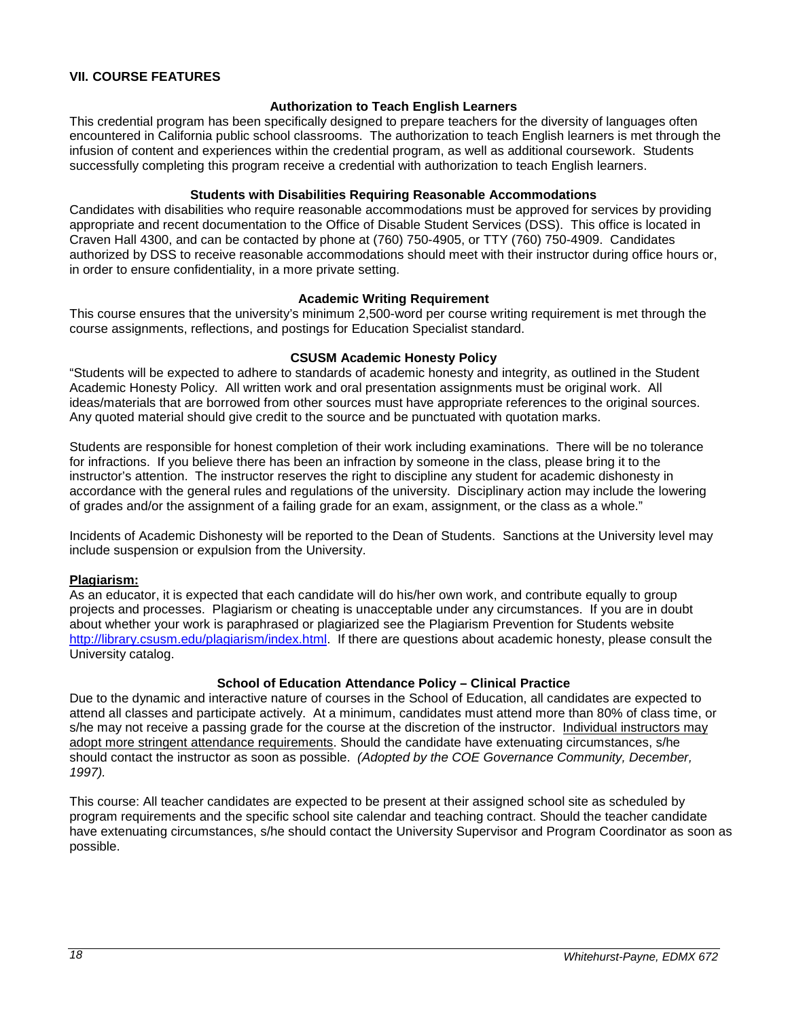## <span id="page-17-0"></span>**VII. COURSE FEATURES**

## **Authorization to Teach English Learners**

<span id="page-17-1"></span>This credential program has been specifically designed to prepare teachers for the diversity of languages often encountered in California public school classrooms. The authorization to teach English learners is met through the infusion of content and experiences within the credential program, as well as additional coursework. Students successfully completing this program receive a credential with authorization to teach English learners.

#### **Students with Disabilities Requiring Reasonable Accommodations**

<span id="page-17-2"></span>Candidates with disabilities who require reasonable accommodations must be approved for services by providing appropriate and recent documentation to the Office of Disable Student Services (DSS). This office is located in Craven Hall 4300, and can be contacted by phone at (760) 750-4905, or TTY (760) 750-4909. Candidates authorized by DSS to receive reasonable accommodations should meet with their instructor during office hours or, in order to ensure confidentiality, in a more private setting.

#### **Academic Writing Requirement**

<span id="page-17-3"></span>This course ensures that the university's minimum 2,500-word per course writing requirement is met through the course assignments, reflections, and postings for Education Specialist standard.

#### **CSUSM Academic Honesty Policy**

<span id="page-17-4"></span>"Students will be expected to adhere to standards of academic honesty and integrity, as outlined in the Student Academic Honesty Policy. All written work and oral presentation assignments must be original work. All ideas/materials that are borrowed from other sources must have appropriate references to the original sources. Any quoted material should give credit to the source and be punctuated with quotation marks.

Students are responsible for honest completion of their work including examinations. There will be no tolerance for infractions. If you believe there has been an infraction by someone in the class, please bring it to the instructor's attention. The instructor reserves the right to discipline any student for academic dishonesty in accordance with the general rules and regulations of the university. Disciplinary action may include the lowering of grades and/or the assignment of a failing grade for an exam, assignment, or the class as a whole."

Incidents of Academic Dishonesty will be reported to the Dean of Students. Sanctions at the University level may include suspension or expulsion from the University.

#### <span id="page-17-5"></span>**Plagiarism:**

As an educator, it is expected that each candidate will do his/her own work, and contribute equally to group projects and processes. Plagiarism or cheating is unacceptable under any circumstances. If you are in doubt about whether your work is paraphrased or plagiarized see the Plagiarism Prevention for Students website [http://library.csusm.edu/plagiarism/index.html.](http://library.csusm.edu/plagiarism/index.html) If there are questions about academic honesty, please consult the University catalog.

## **School of Education Attendance Policy – Clinical Practice**

<span id="page-17-6"></span>Due to the dynamic and interactive nature of courses in the School of Education, all candidates are expected to attend all classes and participate actively. At a minimum, candidates must attend more than 80% of class time, or s/he may not receive a passing grade for the course at the discretion of the instructor. Individual instructors may adopt more stringent attendance requirements. Should the candidate have extenuating circumstances, s/he should contact the instructor as soon as possible. *(Adopted by the COE Governance Community, December, 1997).*

This course: All teacher candidates are expected to be present at their assigned school site as scheduled by program requirements and the specific school site calendar and teaching contract. Should the teacher candidate have extenuating circumstances, s/he should contact the University Supervisor and Program Coordinator as soon as possible.